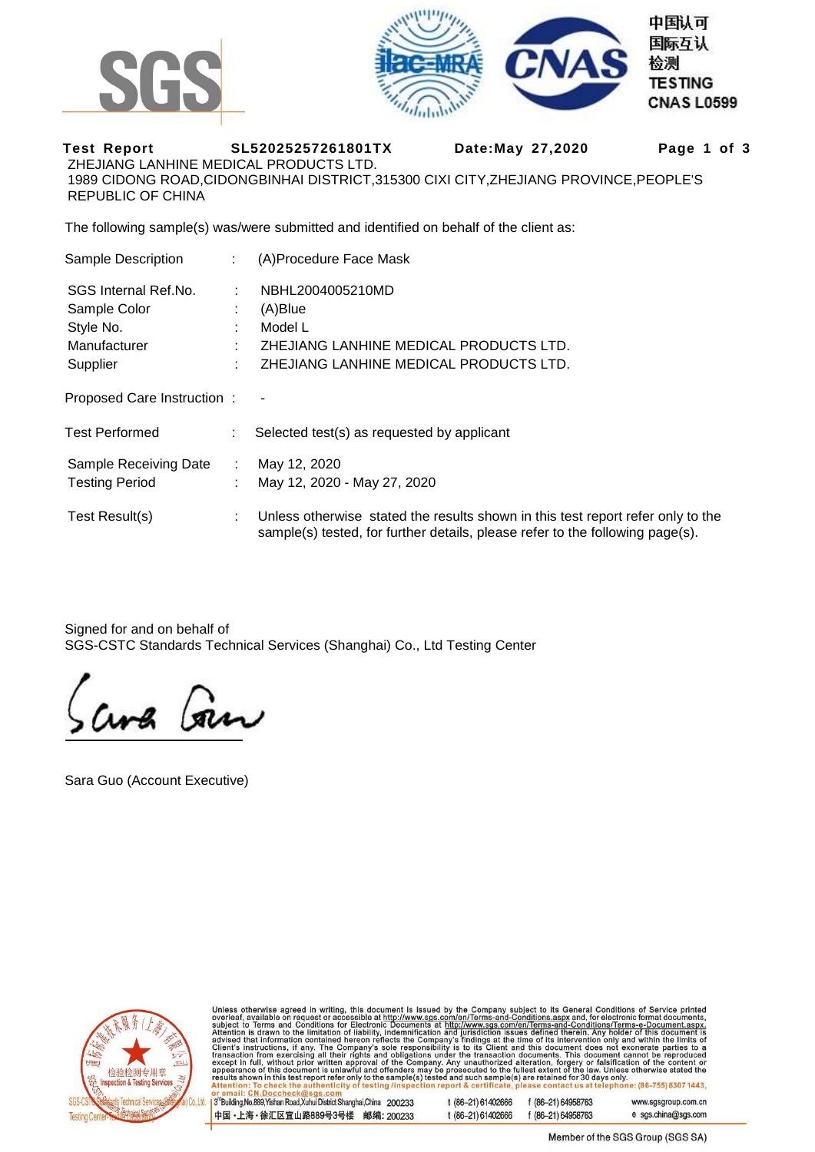



**Test Report SL52025257261801TX Date:May 27,2020 Page 1 of 3**  ZHEJIANG LANHINE MEDICAL PRODUCTS LTD. 1989 CIDONG ROAD,CIDONGBINHAI DISTRICT,315300 CIXI CITY,ZHEJIANG PROVINCE,PEOPLE'S REPUBLIC OF CHINA

The following sample(s) was/were submitted and identified on behalf of the client as:

| Sample Description         |    | (A)Procedure Face Mask                                                                                                                                           |
|----------------------------|----|------------------------------------------------------------------------------------------------------------------------------------------------------------------|
| SGS Internal Ref.No.       |    | NBHL2004005210MD                                                                                                                                                 |
| Sample Color               | ÷  | (A)Blue                                                                                                                                                          |
| Style No.                  | ÷  | Model L                                                                                                                                                          |
| Manufacturer               |    | ZHEJIANG LANHINE MEDICAL PRODUCTS LTD.                                                                                                                           |
| Supplier                   | ÷  | ZHEJIANG LANHINE MEDICAL PRODUCTS LTD.                                                                                                                           |
| Proposed Care Instruction: |    |                                                                                                                                                                  |
| <b>Test Performed</b>      | ÷. | Selected test(s) as requested by applicant                                                                                                                       |
| Sample Receiving Date      | ÷. | May 12, 2020                                                                                                                                                     |
| <b>Testing Period</b>      |    | May 12, 2020 - May 27, 2020                                                                                                                                      |
| Test Result(s)             |    | Unless otherwise stated the results shown in this test report refer only to the<br>sample(s) tested, for further details, please refer to the following page(s). |

Signed for and on behalf of SGS-CSTC Standards Technical Services (Shanghai) Co., Ltd Testing Center

Sara Guo (Account Executive)



Unless otherwise agreed in writing, this document is issued by the Company subject to its General Conditions of Service printed<br>overleaf, available on request or accessible at http://www.sgs.com/en/Terms-and-Conditions.as

3<sup>rd</sup>Building, No.889, Yishan Road, Xuhui District Shanghai, China 200233 t (86-21) 61402666 中国·上海·徐汇区宜山路889号3号楼 邮编: 200233 t (86-21) 61402666

f (86-21) 64958763 www.sgsgroup.com.cn e sgs.china@sgs.com f (86-21) 64958763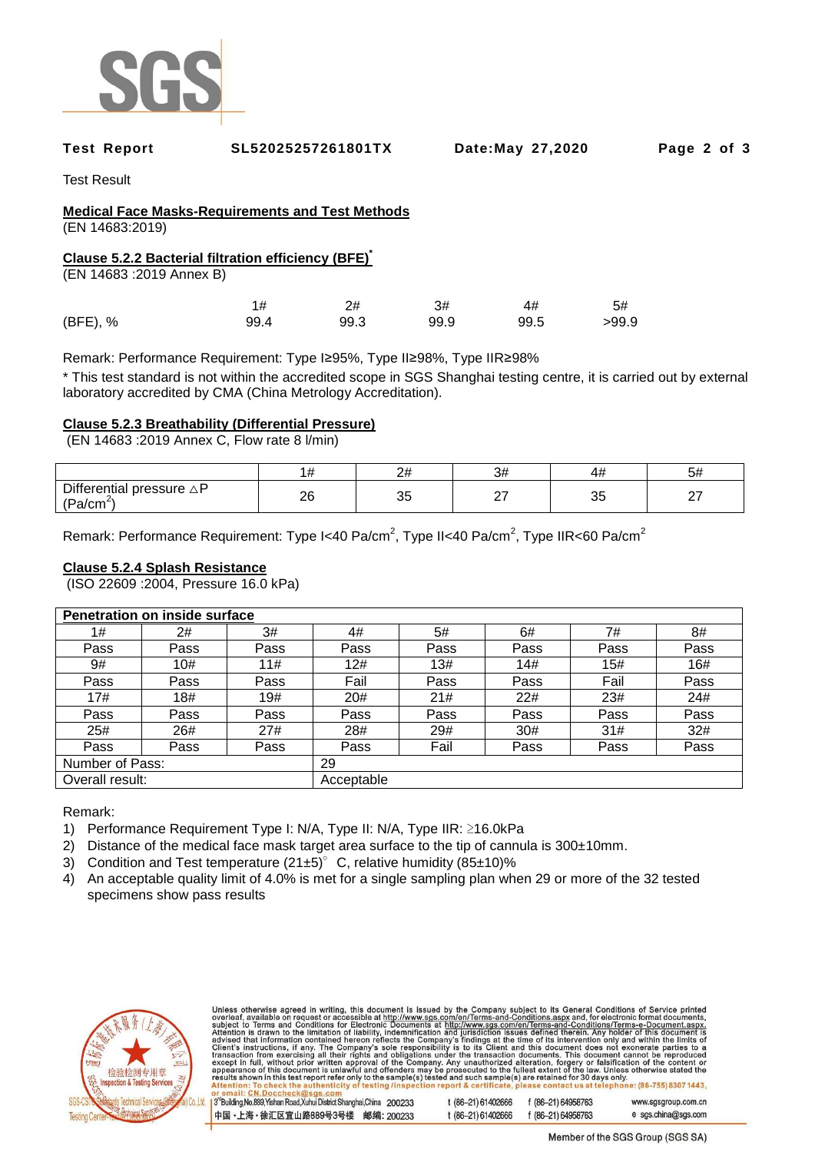

#### **Test Report SL52025257261801TX Date:May 27,2020 Page 2 of 3**

Test Result

# **Medical Face Masks-Requirements and Test Methods**

(EN 14683:2019)

# **Clause 5.2.2 Bacterial filtration efficiency (BFE)\***

(EN 14683 :2019 Annex B)

|          |      | 2#   | 3#   | 4#   | 5#    |
|----------|------|------|------|------|-------|
| (BFE), % | 99.4 | 99.3 | 99.9 | 99.5 | >99.9 |

Remark: Performance Requirement: Type I≥95%, Type II≥98%, Type IIR≥98%

\* This test standard is not within the accredited scope in SGS Shanghai testing centre, it is carried out by external laboratory accredited by CMA (China Metrology Accreditation).

# **Clause 5.2.3 Breathability (Differential Pressure)**

(EN 14683 :2019 Annex C, Flow rate 8 l/min)

|                                                                                               | .        | പ⊥<br>-- | 3#               | 47           | אכ      |
|-----------------------------------------------------------------------------------------------|----------|----------|------------------|--------------|---------|
| Diff <sub>(</sub><br>pressure $\triangle P$<br>'terentıal<br>$n_{\rm B}$<br>a/cm <sup>-</sup> | റമ<br>∠∪ | っこ<br>◡  | $\sim$<br>$\sim$ | $\sim$<br>ັບ | --<br>- |

Remark: Performance Requirement: Type I<40 Pa/cm<sup>2</sup>, Type II<40 Pa/cm<sup>2</sup>, Type IIR<60 Pa/cm<sup>2</sup>

### **Clause 5.2.4 Splash Resistance**

(ISO 22609 :2004, Pressure 16.0 kPa)

| Penetration on inside surface |      |            |      |      |      |      |      |
|-------------------------------|------|------------|------|------|------|------|------|
| 1#                            | 2#   | 3#         | 4#   | 5#   | 6#   | 7#   | 8#   |
| Pass                          | Pass | Pass       | Pass | Pass | Pass | Pass | Pass |
| 9#                            | 10#  | 11#        | 12#  | 13#  | 14#  | 15#  | 16#  |
| Pass                          | Pass | Pass       | Fail | Pass | Pass | Fail | Pass |
| 17#                           | 18#  | 19#        | 20#  | 21#  | 22#  | 23#  | 24#  |
| Pass                          | Pass | Pass       | Pass | Pass | Pass | Pass | Pass |
| 25#                           | 26#  | 27#        | 28#  | 29#  | 30#  | 31#  | 32#  |
| Pass                          | Pass | Pass       | Pass | Fail | Pass | Pass | Pass |
| Number of Pass:               |      |            | 29   |      |      |      |      |
| Overall result:               |      | Acceptable |      |      |      |      |      |

Remark:

- 1) Performance Requirement Type I: N/A, Type II: N/A, Type IIR: ≥16.0kPa
- 2) Distance of the medical face mask target area surface to the tip of cannula is 300±10mm.
- 3) Condition and Test temperature  $(21±5)^\circ$  C, relative humidity  $(85±10)\%$
- 4) An acceptable quality limit of 4.0% is met for a single sampling plan when 29 or more of the 32 tested specimens show pass results



Unless otherwise agreed in writing, this document is issued by the Company subject to its General Conditions of Service printed<br>overleaf, available on request or accessible at http://www.sgs.com/en/Terms-and-Conditions.as 3<sup>rd</sup>Building, No.889, Yishan Road, Xuhui District Shanghai, China 200233 t (86-21) 61402666 f (86-21) 64958763 www.sgsgroup.com.cn

t (86-21) 61402666 中国・上海・徐汇区宜山路889号3号楼 邮编: 200233 f (86-21) 64958763

e sgs.china@sgs.com